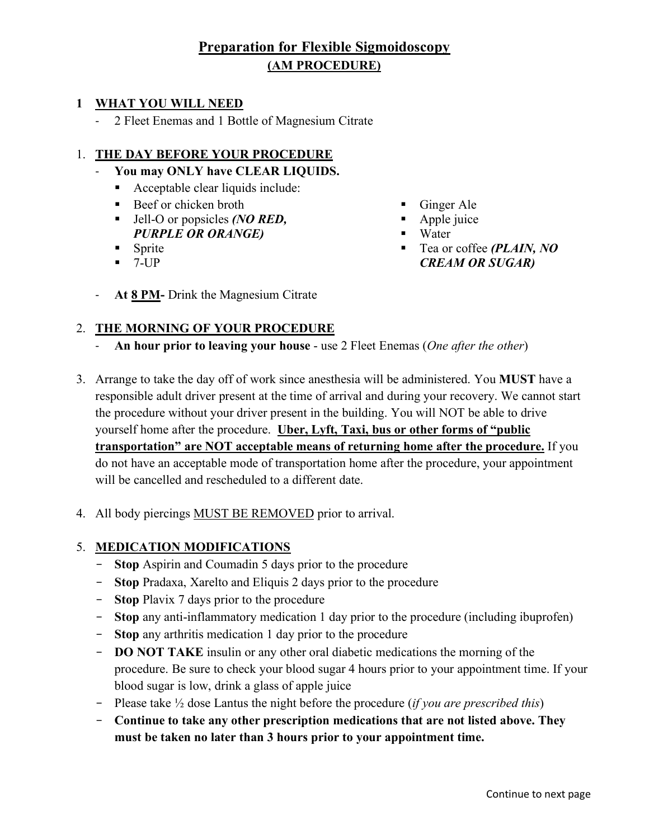# **Preparation for Flexible Sigmoidoscopy (AM PROCEDURE)**

#### **1 WHAT YOU WILL NEED**

2 Fleet Enemas and 1 Bottle of Magnesium Citrate

#### 1. **THE DAY BEFORE YOUR PROCEDURE**

- **You may ONLY have CLEAR LIQUIDS.** 
	- Acceptable clear liquids include:
	- Beef or chicken broth
	- Jell-O or popsicles *(NO RED, PURPLE OR ORANGE)*
	- **Sprite**
	- $-7$ -UP
- Ginger Ale
- Apple juice
- **Water**
- Tea or coffee *(PLAIN, NO CREAM OR SUGAR)*
- At 8 PM- Drink the Magnesium Citrate

### 2. **THE MORNING OF YOUR PROCEDURE**

- **An hour prior to leaving your house**  use 2 Fleet Enemas (*One after the other*)
- 3. Arrange to take the day off of work since anesthesia will be administered. You **MUST** have a responsible adult driver present at the time of arrival and during your recovery. We cannot start the procedure without your driver present in the building. You will NOT be able to drive yourself home after the procedure. **Uber, Lyft, Taxi, bus or other forms of "public transportation" are NOT acceptable means of returning home after the procedure.** If you do not have an acceptable mode of transportation home after the procedure, your appointment will be cancelled and rescheduled to a different date.
- 4. All body piercings MUST BE REMOVED prior to arrival.

### 5. **MEDICATION MODIFICATIONS**

- **Stop** Aspirin and Coumadin 5 days prior to the procedure
- **Stop** Pradaxa, Xarelto and Eliquis 2 days prior to the procedure
- **Stop** Plavix 7 days prior to the procedure
- **Stop** any anti-inflammatory medication 1 day prior to the procedure (including ibuprofen)
- **Stop** any arthritis medication 1 day prior to the procedure
- **DO NOT TAKE** insulin or any other oral diabetic medications the morning of the procedure. Be sure to check your blood sugar 4 hours prior to your appointment time. If your blood sugar is low, drink a glass of apple juice
- Please take ½ dose Lantus the night before the procedure (*if you are prescribed this*)
- **Continue to take any other prescription medications that are not listed above. They must be taken no later than 3 hours prior to your appointment time.**